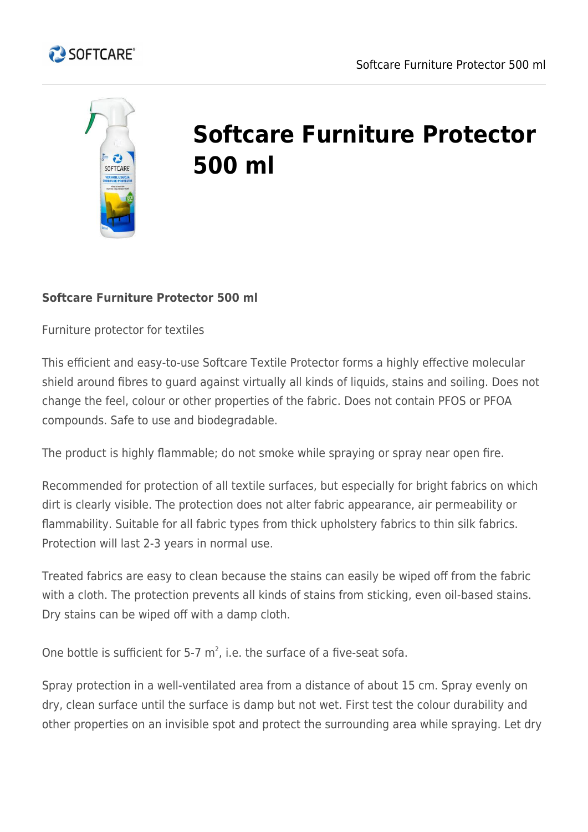



## **Softcare Furniture Protector 500 ml**

## **Softcare Furniture Protector 500 ml**

Furniture protector for textiles

This efficient and easy-to-use Softcare Textile Protector forms a highly effective molecular shield around fibres to guard against virtually all kinds of liquids, stains and soiling. Does not change the feel, colour or other properties of the fabric. Does not contain PFOS or PFOA compounds. Safe to use and biodegradable.

The product is highly flammable; do not smoke while spraying or spray near open fire.

Recommended for protection of all textile surfaces, but especially for bright fabrics on which dirt is clearly visible. The protection does not alter fabric appearance, air permeability or flammability. Suitable for all fabric types from thick upholstery fabrics to thin silk fabrics. Protection will last 2-3 years in normal use.

Treated fabrics are easy to clean because the stains can easily be wiped off from the fabric with a cloth. The protection prevents all kinds of stains from sticking, even oil-based stains. Dry stains can be wiped off with a damp cloth.

One bottle is sufficient for 5-7  $m^2$ , i.e. the surface of a five-seat sofa.

Spray protection in a well-ventilated area from a distance of about 15 cm. Spray evenly on dry, clean surface until the surface is damp but not wet. First test the colour durability and other properties on an invisible spot and protect the surrounding area while spraying. Let dry